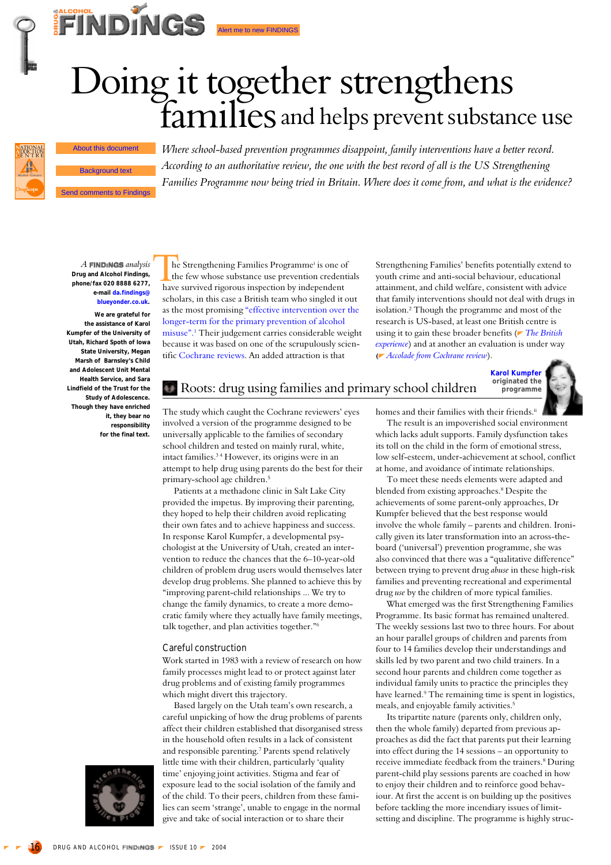# Doing it together strengthens<br>families and helps prevent substance use Send comments to Findings<br>
Send comments to Findings<br>
Send comments to Findings<br>
Send comments to Findings<br>
Background text<br>
Families Programme now being to<br>
Send comments to Findings



**FINDINGS** 

*Where school-based prevention programmes disappoint, family interventions have a better record. According to an authoritative review, the one with the best record of all is the US Strengthening Families Programme now being tried in Britain. Where does it come from, and what is the evidence?*

**A FINDINGS** analysis **Drug and Alcohol Findings, phone/fax 020 8888 6277, e-mail da.findings@ blueyonder.co.uk. We are grateful for**

**the assistance of Karol Kumpfer of the University of Utah, Richard Spoth of Iowa State University, Megan Marsh of Barnsley's Child and Adolescent Unit Mental Health Service, and Sara Lindfield of the Trust for the Study of Adolescence. Though they have enriched it, they bear no responsibility for the final text.**

he Strengthening Families Programmei is one of the few whose substance use prevention credentials The Strengthening Families Programme<sup>i</sup> is one of the few whose substance use prevention creden<br>have survived rigorous inspection by independent scholars, in this case a British team who singled it out as the most promising "effective intervention over the longer-term for the primary prevention of alcohol misuse". <sup>1</sup> Their judgement carries considerable weight because it was based on one of the scrupulously scientific Cochrane reviews. An added attraction is that

Strengthening Families' benefits potentially extend to youth crime and anti-social behaviour, educational attainment, and child welfare, consistent with advice that family interventions should not deal with drugs in isolation.2 Though the programme and most of the research is US-based, at least one British centre is using it to gain these broader benefits (*[The British](#page-2-0) [experience](#page-2-0)*) and at another an evaluation is under way **(** *[Accolade from Cochrane review](#page-1-0)*).



The study which caught the Cochrane reviewers' eyes involved a version of the programme designed to be universally applicable to the families of secondary school children and tested on mainly rural, white, intact families.3 4 However, its origins were in an

primary-school age children.5 Patients at a methadone clinic in Salt Lake City provided the impetus. By improving their parenting, they hoped to help their children avoid replicating their own fates and to achieve happiness and success. In response Karol Kumpfer, a developmental psychologist at the University of Utah, created an intervention to reduce the chances that the 6–10-year-old children of problem drug users would themselves later develop drug problems. She planned to achieve this by "improving parent-child relationships ... We try to change the family dynamics, to create a more democratic family where they actually have family meetings, talk together, and plan activities together."6

attempt to help drug using parents do the best for their

#### Careful construction

Work started in 1983 with a review of research on how family processes might lead to or protect against later drug problems and of existing family programmes which might divert this trajectory.

Based largely on the Utah team's own research, a careful unpicking of how the drug problems of parents affect their children established that disorganised stress in the household often results in a lack of consistent and responsible parenting.7 Parents spend relatively little time with their children, particularly 'quality time' enjoying joint activities. Stigma and fear of exposure lead to the social isolation of the family and of the child. To their peers, children from these families can seem 'strange', unable to engage in the normal give and take of social interaction or to share their

homes and their families with their friends.<sup>ii</sup>

The result is an impoverished social environment which lacks adult supports. Family dysfunction takes its toll on the child in the form of emotional stress, low self-esteem, under-achievement at school, conflict at home, and avoidance of intimate relationships.

To meet these needs elements were adapted and blended from existing approaches.<sup>8</sup> Despite the achievements of some parent-only approaches, Dr Kumpfer believed that the best response would involve the whole family – parents and children. Ironically given its later transformation into an across-theboard ('universal') prevention programme, she was also convinced that there was a "qualitative difference" between trying to prevent drug *abuse* in these high-risk families and preventing recreational and experimental drug *use* by the children of more typical families.

What emerged was the first Strengthening Families Programme. Its basic format has remained unaltered. The weekly sessions last two to three hours. For about an hour parallel groups of children and parents from four to 14 families develop their understandings and skills led by two parent and two child trainers. In a second hour parents and children come together as individual family units to practice the principles they have learned.<sup>9</sup> The remaining time is spent in logistics, meals, and enjoyable family activities.<sup>5</sup>

Its tripartite nature (parents only, children only, then the whole family) departed from previous approaches as did the fact that parents put their learning into effect during the 14 sessions – an opportunity to receive immediate feedback from the trainers.<sup>8</sup> During parent-child play sessions parents are coached in how to enjoy their children and to reinforce good behaviour. At first the accent is on building up the positives before tackling the more incendiary issues of limitsetting and discipline. The programme is highly struc-

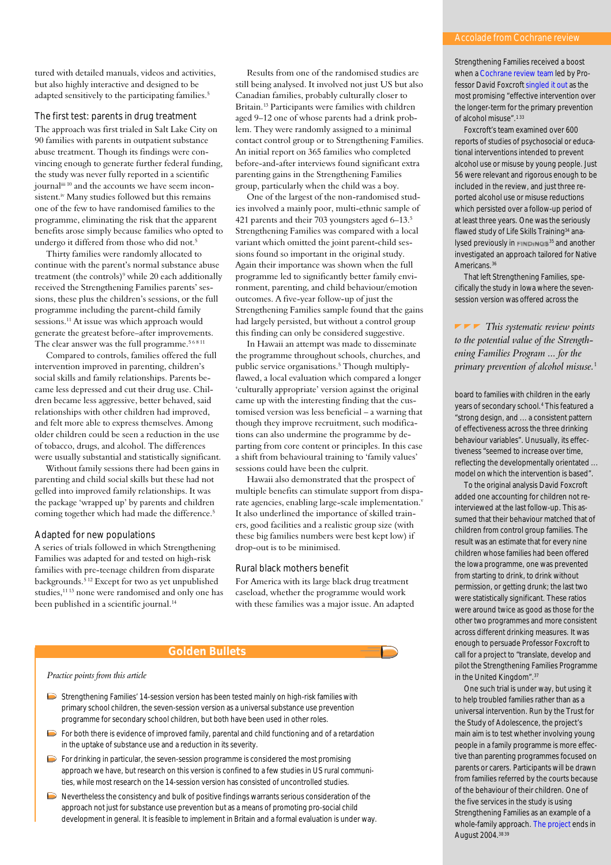<span id="page-1-0"></span>tured with detailed manuals, videos and activities, but also highly interactive and designed to be adapted sensitively to the participating families.<sup>5</sup>

The first test: parents in drug treatment The approach was first trialed in Salt Lake City on 90 families with parents in outpatient substance abuse treatment. Though its findings were convincing enough to generate further federal funding, the study was never fully reported in a scientific journaliii 10 and the accounts we have seem inconsistent.<sup>iv</sup> Many studies followed but this remains one of the few to have randomised families to the programme, eliminating the risk that the apparent benefits arose simply because families who opted to undergo it differed from those who did not.<sup>5</sup>

Thirty families were randomly allocated to continue with the parent's normal substance abuse treatment (the controls)<sup>9</sup> while 20 each additionally received the Strengthening Families parents' sessions, these plus the children's sessions, or the full programme including the parent-child family sessions.11 At issue was which approach would generate the greatest before–after improvements. The clear answer was the full programme.<sup>56811</sup>

Compared to controls, families offered the full intervention improved in parenting, children's social skills and family relationships. Parents became less depressed and cut their drug use. Children became less aggressive, better behaved, said relationships with other children had improved, and felt more able to express themselves. Among older children could be seen a reduction in the use of tobacco, drugs, and alcohol. The differences were usually substantial and statistically significant.

Without family sessions there had been gains in parenting and child social skills but these had not gelled into improved family relationships. It was the package 'wrapped up' by parents and children coming together which had made the difference.<sup>5</sup>

#### Adapted for new populations

A series of trials followed in which Strengthening Families was adapted for and tested on high-risk families with pre-teenage children from disparate backgrounds.<sup>5 12</sup> Except for two as yet unpublished studies,<sup>11 13</sup> none were randomised and only one has been published in a scientific journal.<sup>14</sup>

Results from one of the randomised studies are still being analysed. It involved not just US but also Canadian families, probably culturally closer to Britain.13 Participants were families with children aged 9–12 one of whose parents had a drink problem. They were randomly assigned to a minimal contact control group or to Strengthening Families. An initial report on 365 families who completed before-and-after interviews found significant extra parenting gains in the Strengthening Families group, particularly when the child was a boy.

One of the largest of the non-randomised studies involved a mainly poor, multi-ethnic sample of 421 parents and their 703 youngsters aged 6-13.<sup>5</sup> Strengthening Families was compared with a local variant which omitted the joint parent-child sessions found so important in the original study. Again their importance was shown when the full programme led to significantly better family environment, parenting, and child behaviour/emotion outcomes. A five-year follow-up of just the Strengthening Families sample found that the gains had largely persisted, but without a control group this finding can only be considered suggestive.

In Hawaii an attempt was made to disseminate the programme throughout schools, churches, and public service organisations.<sup>5</sup> Though multiplyflawed, a local evaluation which compared a longer 'culturally appropriate' version against the original came up with the interesting finding that the customised version was less beneficial – a warning that though they improve recruitment, such modifications can also undermine the programme by departing from core content or principles. In this case a shift from behavioural training to 'family values' sessions could have been the culprit.

Hawaii also demonstrated that the prospect of multiple benefits can stimulate support from disparate agencies, enabling large-scale implementation.<sup>v</sup> It also underlined the importance of skilled trainers, good facilities and a realistic group size (with these big families numbers were best kept low) if drop-out is to be minimised.

#### Rural black mothers benefit

For America with its large black drug treatment caseload, whether the programme would work with these families was a major issue. An adapted

### **Golden Bullets**

*Practice points from this article*

- Strengthening Families' 14-session version has been tested mainly on high-risk families with primary school children, the seven-session version as a universal substance use prevention programme for secondary school children, but both have been used in other roles.
- $\triangleright$  For both there is evidence of improved family, parental and child functioning and of a retardation in the uptake of substance use and a reduction in its severity.
- $\triangleright$  For drinking in particular, the seven-session programme is considered the most promising approach we have, but research on this version is confined to a few studies in US rural communities, while most research on the 14-session version has consisted of uncontrolled studies.
- Nevertheless the consistency and bulk of positive findings warrants serious consideration of the approach not just for substance use prevention but as a means of promoting pro-social child development in general. It is feasible to implement in Britain and a formal evaluation is under way.

Strengthening Families received a boost when a Cochrane review team led by Professor David Foxcroft singled it out as the most promising "effective intervention over the longer-term for the primary prevention of alcohol misuse".<sup>133</sup>

Foxcroft's team examined over 600 reports of studies of psychosocial or educational interventions intended to prevent alcohol use or misuse by young people. Just 56 were relevant and rigorous enough to be included in the review, and just three reported alcohol use or misuse reductions which persisted over a follow-up period of at least three years. One was the seriously flawed study of Life Skills Training<sup>34</sup> analysed previously in  $FIND<sub>1</sub>NGS<sup>35</sup>$  and another investigated an approach tailored for Native Americans.<sup>36</sup>

That left Strengthening Families, specifically the study in Iowa where the sevensession version was offered across the

*This systematic review points to the potential value of the Strengthening Families Program ... for the primary prevention of alcohol misuse.*<sup>1</sup>

board to families with children in the early years of secondary school.4 This featured a "strong design, and ... a consistent pattern of effectiveness across the three drinking behaviour variables". Unusually, its effectiveness "seemed to increase over time, reflecting the developmentally orientated ... model on which the intervention is based".

To the original analysis David Foxcroft added one accounting for children not reinterviewed at the last follow-up. This assumed that their behaviour matched that of children from control group families. The result was an estimate that for every nine children whose families had been offered the Iowa programme, one was prevented from starting to drink, to drink without permission, or getting drunk; the last two were statistically significant. These ratios were around twice as good as those for the other two programmes and more consistent across different drinking measures. It was enough to persuade Professor Foxcroft to call for a project to "translate, develop and pilot the Strengthening Families Programme in the United Kingdom".37

One such trial is under way, but using it to help troubled families rather than as a universal intervention. Run by the Trust for the Study of Adolescence, the project's main aim is to test whether involving young people in a family programme is more effective than parenting programmes focused on parents or carers. Participants will be drawn from families referred by the courts because of the behaviour of their children. One of the five services in the study is using Strengthening Families as an example of a whole-family approach. The project ends in August 2004.38 39

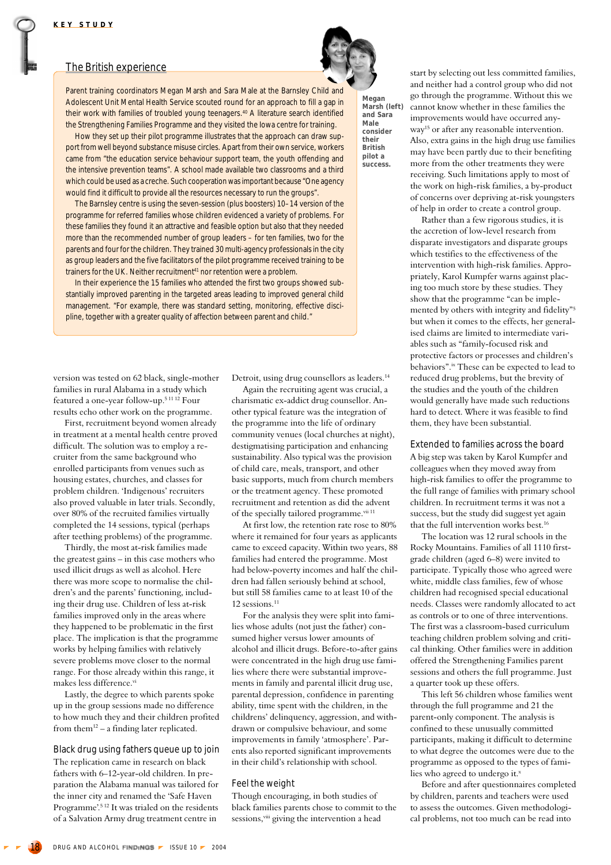## <span id="page-2-0"></span>The British experience

**Megan**

**Marsh (left) and Sara Male consider their British pilot a success.**

Parent training coordinators Megan Marsh and Sara Male at the Barnsley Child and Adolescent Unit Mental Health Service scouted round for an approach to fill a gap in their work with families of troubled young teenagers.<sup>40</sup> A literature search identified the Strengthening Families Programme and they visited the Iowa centre for training.

How they set up their pilot programme illustrates that the approach can draw support from well beyond substance misuse circles. Apart from their own service, workers came from "the education service behaviour support team, the youth offending and the intensive prevention teams". A school made available two classrooms and a third which could be used as a creche. Such cooperation was important because "One agency would find it difficult to provide all the resources necessary to run the groups".

The Barnsley centre is using the seven-session (plus boosters) 10–14 version of the programme for referred families whose children evidenced a variety of problems. For these families they found it an attractive and feasible option but also that they needed more than the recommended number of group leaders – for ten families, two for the parents and four for the children. They trained 30 multi-agency professionals in the city as group leaders and the five facilitators of the pilot programme received training to be trainers for the UK. Neither recruitment<sup>41</sup> nor retention were a problem.

In their experience the 15 families who attended the first two groups showed substantially improved parenting in the targeted areas leading to improved general child management. "For example, there was standard setting, monitoring, effective discipline, together with a greater quality of affection between parent and child."

version was tested on 62 black, single-mother families in rural Alabama in a study which featured a one-year follow-up.5 11 12 Four results echo other work on the programme.

First, recruitment beyond women already in treatment at a mental health centre proved difficult. The solution was to employ a recruiter from the same background who enrolled participants from venues such as housing estates, churches, and classes for problem children. 'Indigenous' recruiters also proved valuable in later trials. Secondly, over 80% of the recruited families virtually completed the 14 sessions, typical (perhaps after teething problems) of the programme.

Thirdly, the most at-risk families made the greatest gains – in this case mothers who used illicit drugs as well as alcohol. Here there was more scope to normalise the children's and the parents' functioning, including their drug use. Children of less at-risk families improved only in the areas where they happened to be problematic in the first place. The implication is that the programme works by helping families with relatively severe problems move closer to the normal range. For those already within this range, it makes less difference.vi

Lastly, the degree to which parents spoke up in the group sessions made no difference to how much they and their children profited from them<sup>12</sup> – a finding later replicated.

Black drug using fathers queue up to join The replication came in research on black fathers with 6–12-year-old children. In preparation the Alabama manual was tailored for the inner city and renamed the 'Safe Haven Programme'.5 12 It was trialed on the residents of a Salvation Army drug treatment centre in

Detroit, using drug counsellors as leaders.14

Again the recruiting agent was crucial, a charismatic ex-addict drug counsellor. Another typical feature was the integration of the programme into the life of ordinary community venues (local churches at night), destigmatising participation and enhancing sustainability. Also typical was the provision of child care, meals, transport, and other basic supports, much from church members or the treatment agency. These promoted recruitment and retention as did the advent of the specially tailored programme.<sup>vii 11</sup>

At first low, the retention rate rose to 80% where it remained for four years as applicants came to exceed capacity. Within two years, 88 families had entered the programme. Most had below-poverty incomes and half the children had fallen seriously behind at school, but still 58 families came to at least 10 of the 12 sessions.<sup>11</sup>

For the analysis they were split into families whose adults (not just the father) consumed higher versus lower amounts of alcohol and illicit drugs. Before-to-after gains were concentrated in the high drug use families where there were substantial improvements in family and parental illicit drug use, parental depression, confidence in parenting ability, time spent with the children, in the childrens' delinquency, aggression, and withdrawn or compulsive behaviour, and some improvements in family 'atmosphere'. Parents also reported significant improvements in their child's relationship with school.

#### Feel the weight

Though encouraging, in both studies of black families parents chose to commit to the sessions,<sup>viii</sup> giving the intervention a head

start by selecting out less committed families, and neither had a control group who did not go through the programme. Without this we cannot know whether in these families the improvements would have occurred anyway<sup>15</sup> or after any reasonable intervention. Also, extra gains in the high drug use families may have been partly due to their benefiting more from the other treatments they were receiving. Such limitations apply to most of the work on high-risk families, a by-product of concerns over depriving at-risk youngsters of help in order to create a control group.

Rather than a few rigorous studies, it is the accretion of low-level research from disparate investigators and disparate groups which testifies to the effectiveness of the intervention with high-risk families. Appropriately, Karol Kumpfer warns against placing too much store by these studies. They show that the programme "can be implemented by others with integrity and fidelity"5 but when it comes to the effects, her generalised claims are limited to intermediate variables such as "family-focused risk and protective factors or processes and children's behaviors".<sup>ix</sup> These can be expected to lead to reduced drug problems, but the brevity of the studies and the youth of the children would generally have made such reductions hard to detect. Where it was feasible to find them, they have been substantial.

Extended to families across the board A big step was taken by Karol Kumpfer and colleagues when they moved away from high-risk families to offer the programme to the full range of families with primary school children. In recruitment terms it was not a success, but the study did suggest yet again that the full intervention works best.16

The location was 12 rural schools in the Rocky Mountains. Families of all 1110 firstgrade children (aged 6–8) were invited to participate. Typically those who agreed were white, middle class families, few of whose children had recognised special educational needs. Classes were randomly allocated to act as controls or to one of three interventions. The first was a classroom-based curriculum teaching children problem solving and critical thinking. Other families were in addition offered the Strengthening Families parent sessions and others the full programme. Just a quarter took up these offers.

This left 56 children whose families went through the full programme and 21 the parent-only component. The analysis is confined to these unusually committed participants, making it difficult to determine to what degree the outcomes were due to the programme as opposed to the types of families who agreed to undergo it.x

Before and after questionnaires completed by children, parents and teachers were used to assess the outcomes. Given methodological problems, not too much can be read into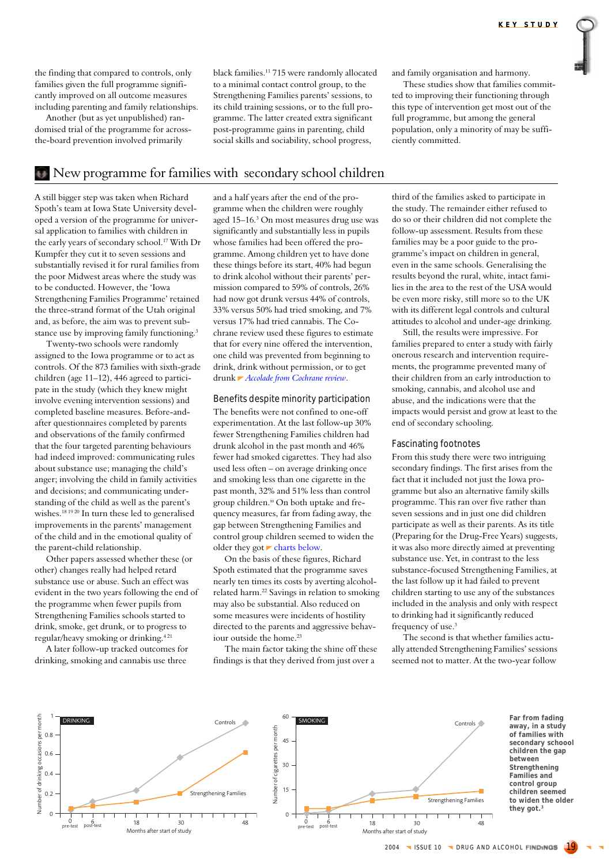the finding that compared to controls, only families given the full programme significantly improved on all outcome measures including parenting and family relationships.

Another (but as yet unpublished) randomised trial of the programme for acrossthe-board prevention involved primarily

black families.11 715 were randomly allocated to a minimal contact control group, to the Strengthening Families parents' sessions, to its child training sessions, or to the full programme. The latter created extra significant post-programme gains in parenting, child social skills and sociability, school progress,

and family organisation and harmony.

These studies show that families committed to improving their functioning through this type of intervention get most out of the full programme, but among the general population, only a minority of may be sufficiently committed.

# New programme for families with secondary school children

A still bigger step was taken when Richard Spoth's team at Iowa State University developed a version of the programme for universal application to families with children in the early years of secondary school.17 With Dr Kumpfer they cut it to seven sessions and substantially revised it for rural families from the poor Midwest areas where the study was to be conducted. However, the 'Iowa Strengthening Families Programme' retained the three-strand format of the Utah original and, as before, the aim was to prevent substance use by improving family functioning.<sup>3</sup>

Twenty-two schools were randomly assigned to the Iowa programme or to act as controls. Of the 873 families with sixth-grade children (age 11–12), 446 agreed to participate in the study (which they knew might involve evening intervention sessions) and completed baseline measures. Before-andafter questionnaires completed by parents and observations of the family confirmed that the four targeted parenting behaviours had indeed improved: communicating rules about substance use; managing the child's anger; involving the child in family activities and decisions; and communicating understanding of the child as well as the parent's wishes.<sup>18 19 20</sup> In turn these led to generalised improvements in the parents' management of the child and in the emotional quality of the parent-child relationship.

Other papers assessed whether these (or other) changes really had helped retard substance use or abuse. Such an effect was evident in the two years following the end of the programme when fewer pupils from Strengthening Families schools started to drink, smoke, get drunk, or to progress to regular/heavy smoking or drinking.4 21

A later follow-up tracked outcomes for drinking, smoking and cannabis use three

and a half years after the end of the programme when the children were roughly aged 15–16.<sup>3</sup> On most measures drug use was significantly and substantially less in pupils whose families had been offered the programme. Among children yet to have done these things before its start, 40% had begun to drink alcohol without their parents' permission compared to 59% of controls, 26% had now got drunk versus 44% of controls, 33% versus 50% had tried smoking, and 7% versus 17% had tried cannabis. The Cochrane review used these figures to estimate that for every nine offered the intervention, one child was prevented from beginning to drink, drink without permission, or to get drunk *[Accolade from Cochrane review](#page-1-0)*.

#### Benefits despite minority participation The benefits were not confined to one-off experimentation. At the last follow-up 30% fewer Strengthening Families children had drunk alcohol in the past month and 46% fewer had smoked cigarettes. They had also used less often – on average drinking once and smoking less than one cigarette in the past month, 32% and 51% less than control group children.<sup>xi</sup> On both uptake and frequency measures, far from fading away, the gap between Strengthening Families and control group children seemed to widen the older they got  $\blacktriangleright$  charts below.

On the basis of these figures, Richard Spoth estimated that the programme saves nearly ten times its costs by averting alcoholrelated harm.22 Savings in relation to smoking may also be substantial. Also reduced on some measures were incidents of hostility directed to the parents and aggressive behaviour outside the home.23

The main factor taking the shine off these findings is that they derived from just over a

third of the families asked to participate in the study. The remainder either refused to do so or their children did not complete the follow-up assessment. Results from these families may be a poor guide to the programme's impact on children in general, even in the same schools. Generalising the results beyond the rural, white, intact families in the area to the rest of the USA would be even more risky, still more so to the UK with its different legal controls and cultural attitudes to alcohol and under-age drinking.

Still, the results were impressive. For families prepared to enter a study with fairly onerous research and intervention requirements, the programme prevented many of their children from an early introduction to smoking, cannabis, and alcohol use and abuse, and the indications were that the impacts would persist and grow at least to the end of secondary schooling.

#### Fascinating footnotes

From this study there were two intriguing secondary findings. The first arises from the fact that it included not just the Iowa programme but also an alternative family skills programme. This ran over five rather than seven sessions and in just one did children participate as well as their parents. As its title (Preparing for the Drug-Free Years) suggests, it was also more directly aimed at preventing substance use. Yet, in contrast to the less substance-focused Strengthening Families, at the last follow up it had failed to prevent children starting to use any of the substances included in the analysis and only with respect to drinking had it significantly reduced frequency of use.3

The second is that whether families actually attended Strengthening Families' sessions seemed not to matter. At the two-year follow

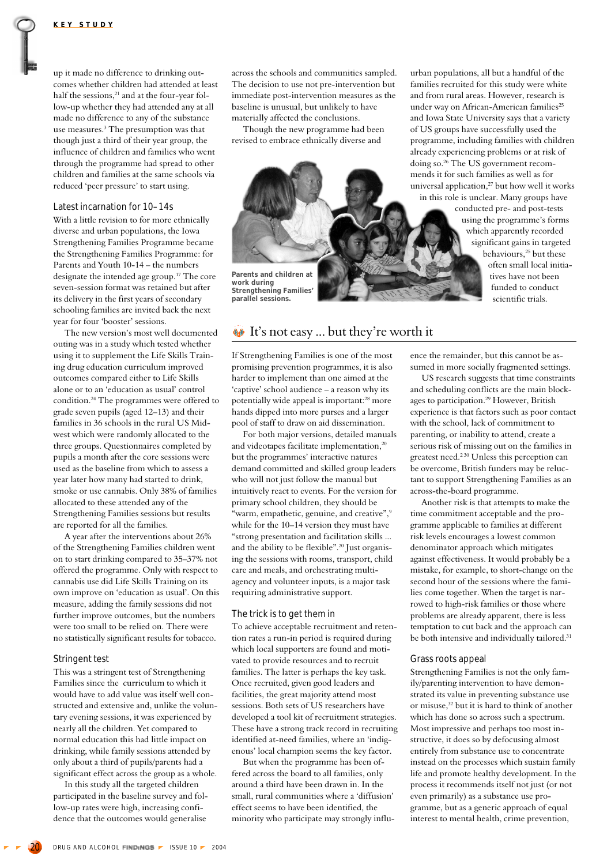up it made no difference to drinking outcomes whether children had attended at least half the sessions,<sup>21</sup> and at the four-year follow-up whether they had attended any at all made no difference to any of the substance use measures.3 The presumption was that though just a third of their year group, the influence of children and families who went through the programme had spread to other children and families at the same schools via reduced 'peer pressure' to start using.

#### Latest incarnation for 10–14s

With a little revision to for more ethnically diverse and urban populations, the Iowa Strengthening Families Programme became the Strengthening Families Programme: for Parents and Youth 10-14 – the numbers designate the intended age group.17 The core seven-session format was retained but after its delivery in the first years of secondary schooling families are invited back the next year for four 'booster' sessions.

The new version's most well documented outing was in a study which tested whether using it to supplement the Life Skills Training drug education curriculum improved outcomes compared either to Life Skills alone or to an 'education as usual' control condition.24 The programmes were offered to grade seven pupils (aged 12–13) and their families in 36 schools in the rural US Midwest which were randomly allocated to the three groups. Questionnaires completed by pupils a month after the core sessions were used as the baseline from which to assess a year later how many had started to drink, smoke or use cannabis. Only 38% of families allocated to these attended any of the Strengthening Families sessions but results are reported for all the families.

A year after the interventions about 26% of the Strengthening Families children went on to start drinking compared to 35–37% not offered the programme. Only with respect to cannabis use did Life Skills Training on its own improve on 'education as usual'. On this measure, adding the family sessions did not further improve outcomes, but the numbers were too small to be relied on. There were no statistically significant results for tobacco.

#### Stringent test

This was a stringent test of Strengthening Families since the curriculum to which it would have to add value was itself well constructed and extensive and, unlike the voluntary evening sessions, it was experienced by nearly all the children. Yet compared to normal education this had little impact on drinking, while family sessions attended by only about a third of pupils/parents had a significant effect across the group as a whole.

In this study all the targeted children participated in the baseline survey and follow-up rates were high, increasing confidence that the outcomes would generalise

across the schools and communities sampled. The decision to use not pre-intervention but immediate post-intervention measures as the baseline is unusual, but unlikely to have materially affected the conclusions.

Though the new programme had been revised to embrace ethnically diverse and



**work during Strengthening Families' parallel sessions.**

# **■**It's not easy ... but they're worth it

If Strengthening Families is one of the most promising prevention programmes, it is also harder to implement than one aimed at the 'captive' school audience – a reason why its potentially wide appeal is important:28 more hands dipped into more purses and a larger pool of staff to draw on aid dissemination.

For both major versions, detailed manuals and videotapes facilitate implementation,<sup>20</sup> but the programmes' interactive natures demand committed and skilled group leaders who will not just follow the manual but intuitively react to events. For the version for primary school children, they should be "warm, empathetic, genuine, and creative",<sup>9</sup> while for the 10–14 version they must have "strong presentation and facilitation skills ... and the ability to be flexible".<sup>20</sup> Just organising the sessions with rooms, transport, child care and meals, and orchestrating multiagency and volunteer inputs, is a major task requiring administrative support.

#### The trick is to get them in

To achieve acceptable recruitment and retention rates a run-in period is required during which local supporters are found and motivated to provide resources and to recruit families. The latter is perhaps the key task. Once recruited, given good leaders and facilities, the great majority attend most sessions. Both sets of US researchers have developed a tool kit of recruitment strategies. These have a strong track record in recruiting identified at-need families, where an 'indigenous' local champion seems the key factor.

But when the programme has been offered across the board to all families, only around a third have been drawn in. In the small, rural communities where a 'diffusion' effect seems to have been identified, the minority who participate may strongly influurban populations, all but a handful of the families recruited for this study were white and from rural areas. However, research is under way on African-American families<sup>25</sup> and Iowa State University says that a variety of US groups have successfully used the programme, including families with children already experiencing problems or at risk of doing so.26 The US government recommends it for such families as well as for universal application,<sup>27</sup> but how well it works in this role is unclear. Many groups have

conducted pre- and post-tests using the programme's forms which apparently recorded significant gains in targeted behaviours,<sup>25</sup> but these often small local initiatives have not been funded to conduct scientific trials.

ence the remainder, but this cannot be assumed in more socially fragmented settings.

US research suggests that time constraints and scheduling conflicts are the main blockages to participation.29 However, British experience is that factors such as poor contact with the school, lack of commitment to parenting, or inability to attend, create a serious risk of missing out on the families in greatest need.2 30 Unless this perception can be overcome, British funders may be reluctant to support Strengthening Families as an across-the-board programme.

Another risk is that attempts to make the time commitment acceptable and the programme applicable to families at different risk levels encourages a lowest common denominator approach which mitigates against effectiveness. It would probably be a mistake, for example, to short-change on the second hour of the sessions where the families come together. When the target is narrowed to high-risk families or those where problems are already apparent, there is less temptation to cut back and the approach can be both intensive and individually tailored.<sup>31</sup>

#### Grass roots appeal

Strengthening Families is not the only family/parenting intervention to have demonstrated its value in preventing substance use or misuse,32 but it is hard to think of another which has done so across such a spectrum. Most impressive and perhaps too most instructive, it does so by defocusing almost entirely from substance use to concentrate instead on the processes which sustain family life and promote healthy development. In the process it recommends itself not just (or not even primarily) as a substance use programme, but as a generic approach of equal interest to mental health, crime prevention,